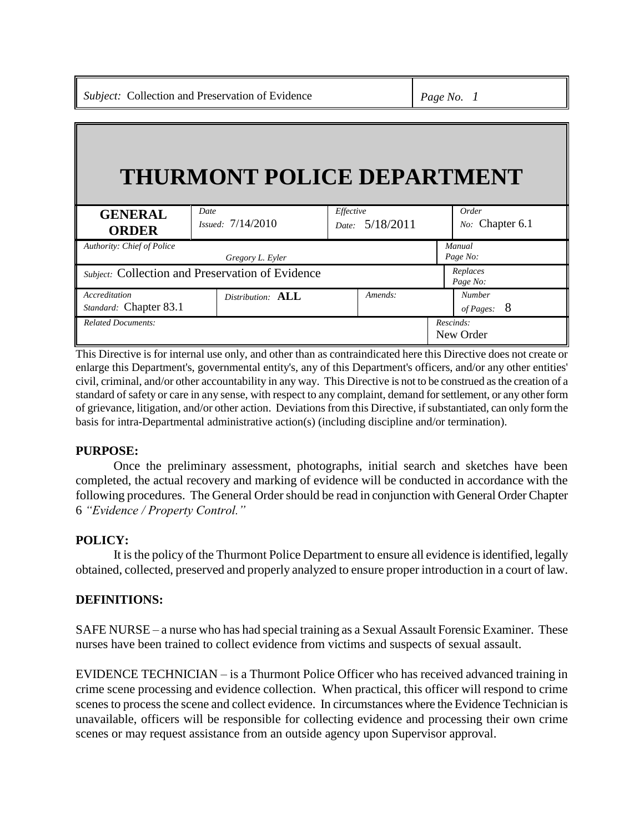# **THURMONT POLICE DEPARTMENT**

| <b>GENERAL</b><br><b>ORDER</b>                   | Date<br>Issued: 7/14/2010 | Effective<br>Date: | 5/18/2011 | Order<br>No: Chapter 6.1 |
|--------------------------------------------------|---------------------------|--------------------|-----------|--------------------------|
| Authority: Chief of Police                       |                           |                    |           | Manual                   |
|                                                  | Gregory L. Eyler          |                    |           | Page No:                 |
| Subject: Collection and Preservation of Evidence |                           |                    |           | Replaces<br>Page No:     |
| Accreditation                                    | Distribution: ALL         |                    | Amends:   | <b>Number</b>            |
| Standard: Chapter 83.1                           |                           |                    |           | - 8<br>of Pages:         |
| <b>Related Documents:</b>                        |                           |                    |           | Rescinds:<br>New Order   |

This Directive is for internal use only, and other than as contraindicated here this Directive does not create or enlarge this Department's, governmental entity's, any of this Department's officers, and/or any other entities' civil, criminal, and/or other accountability in any way. This Directive is not to be construed as the creation of a standard of safety or care in any sense, with respect to any complaint, demand for settlement, or any other form of grievance, litigation, and/or other action. Deviations from this Directive, if substantiated, can only form the basis for intra-Departmental administrative action(s) (including discipline and/or termination).

# **PURPOSE:**

Once the preliminary assessment, photographs, initial search and sketches have been completed, the actual recovery and marking of evidence will be conducted in accordance with the following procedures. The General Order should be read in conjunction with General Order Chapter 6 *"Evidence / Property Control."*

# **POLICY:**

It is the policy of the Thurmont Police Department to ensure all evidence is identified, legally obtained, collected, preserved and properly analyzed to ensure proper introduction in a court of law.

#### **DEFINITIONS:**

SAFE NURSE – a nurse who has had special training as a Sexual Assault Forensic Examiner. These nurses have been trained to collect evidence from victims and suspects of sexual assault.

EVIDENCE TECHNICIAN – is a Thurmont Police Officer who has received advanced training in crime scene processing and evidence collection. When practical, this officer will respond to crime scenes to process the scene and collect evidence. In circumstances where the Evidence Technician is unavailable, officers will be responsible for collecting evidence and processing their own crime scenes or may request assistance from an outside agency upon Supervisor approval.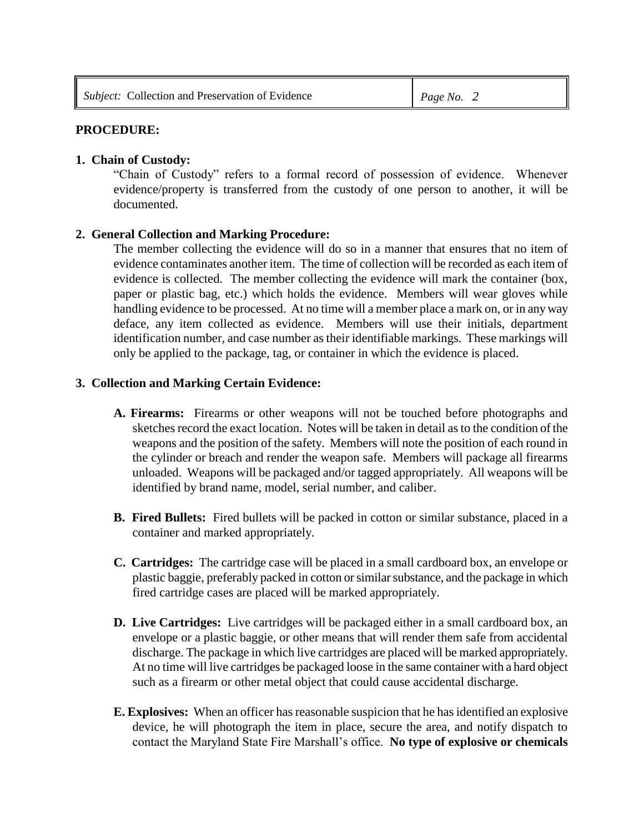## **PROCEDURE:**

#### **1. Chain of Custody:**

"Chain of Custody" refers to a formal record of possession of evidence. Whenever evidence/property is transferred from the custody of one person to another, it will be documented.

## **2. General Collection and Marking Procedure:**

The member collecting the evidence will do so in a manner that ensures that no item of evidence contaminates another item. The time of collection will be recorded as each item of evidence is collected. The member collecting the evidence will mark the container (box, paper or plastic bag, etc.) which holds the evidence. Members will wear gloves while handling evidence to be processed. At no time will a member place a mark on, or in any way deface, any item collected as evidence. Members will use their initials, department identification number, and case number as their identifiable markings. These markings will only be applied to the package, tag, or container in which the evidence is placed.

## **3. Collection and Marking Certain Evidence:**

- **A. Firearms:** Firearms or other weapons will not be touched before photographs and sketches record the exact location. Notes will be taken in detail as to the condition of the weapons and the position of the safety. Members will note the position of each round in the cylinder or breach and render the weapon safe. Members will package all firearms unloaded. Weapons will be packaged and/or tagged appropriately. All weapons will be identified by brand name, model, serial number, and caliber.
- **B. Fired Bullets:** Fired bullets will be packed in cotton or similar substance, placed in a container and marked appropriately.
- **C. Cartridges:** The cartridge case will be placed in a small cardboard box, an envelope or plastic baggie, preferably packed in cotton or similar substance, and the package in which fired cartridge cases are placed will be marked appropriately.
- **D. Live Cartridges:** Live cartridges will be packaged either in a small cardboard box, an envelope or a plastic baggie, or other means that will render them safe from accidental discharge. The package in which live cartridges are placed will be marked appropriately. At no time will live cartridges be packaged loose in the same container with a hard object such as a firearm or other metal object that could cause accidental discharge.
- **E. Explosives:** When an officer has reasonable suspicion that he has identified an explosive device, he will photograph the item in place, secure the area, and notify dispatch to contact the Maryland State Fire Marshall's office. **No type of explosive or chemicals**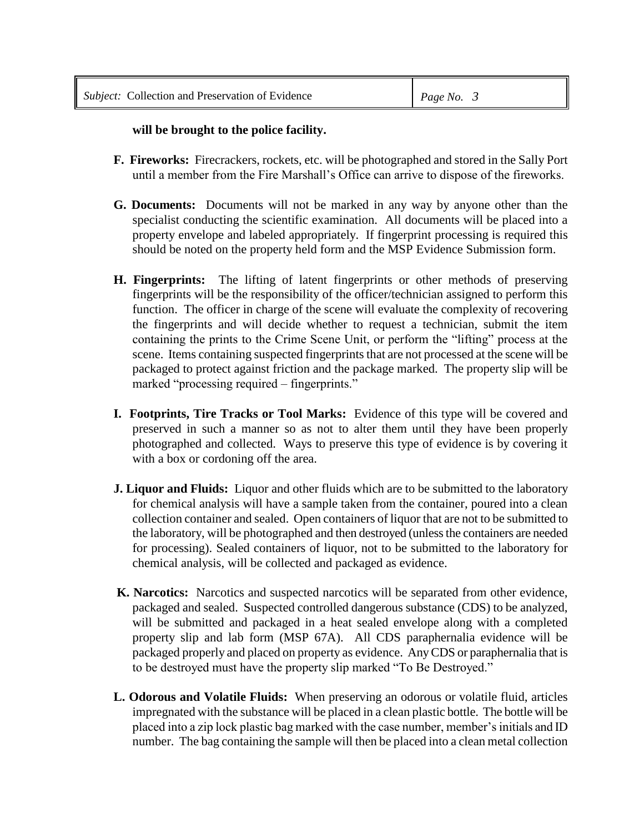# **will be brought to the police facility.**

- **F. Fireworks:** Firecrackers, rockets, etc. will be photographed and stored in the Sally Port until a member from the Fire Marshall's Office can arrive to dispose of the fireworks.
- **G. Documents:** Documents will not be marked in any way by anyone other than the specialist conducting the scientific examination. All documents will be placed into a property envelope and labeled appropriately. If fingerprint processing is required this should be noted on the property held form and the MSP Evidence Submission form.
- **H. Fingerprints:** The lifting of latent fingerprints or other methods of preserving fingerprints will be the responsibility of the officer/technician assigned to perform this function. The officer in charge of the scene will evaluate the complexity of recovering the fingerprints and will decide whether to request a technician, submit the item containing the prints to the Crime Scene Unit, or perform the "lifting" process at the scene. Items containing suspected fingerprints that are not processed at the scene will be packaged to protect against friction and the package marked. The property slip will be marked "processing required – fingerprints."
- **I. Footprints, Tire Tracks or Tool Marks:** Evidence of this type will be covered and preserved in such a manner so as not to alter them until they have been properly photographed and collected. Ways to preserve this type of evidence is by covering it with a box or cordoning off the area.
- **J. Liquor and Fluids:** Liquor and other fluids which are to be submitted to the laboratory for chemical analysis will have a sample taken from the container, poured into a clean collection container and sealed. Open containers of liquor that are not to be submitted to the laboratory, will be photographed and then destroyed (unless the containers are needed for processing). Sealed containers of liquor, not to be submitted to the laboratory for chemical analysis, will be collected and packaged as evidence.
- **K. Narcotics:** Narcotics and suspected narcotics will be separated from other evidence, packaged and sealed. Suspected controlled dangerous substance (CDS) to be analyzed, will be submitted and packaged in a heat sealed envelope along with a completed property slip and lab form (MSP 67A). All CDS paraphernalia evidence will be packaged properly and placed on property as evidence. Any CDS or paraphernalia that is to be destroyed must have the property slip marked "To Be Destroyed."
- **L. Odorous and Volatile Fluids:** When preserving an odorous or volatile fluid, articles impregnated with the substance will be placed in a clean plastic bottle. The bottle will be placed into a zip lock plastic bag marked with the case number, member's initials and ID number. The bag containing the sample will then be placed into a clean metal collection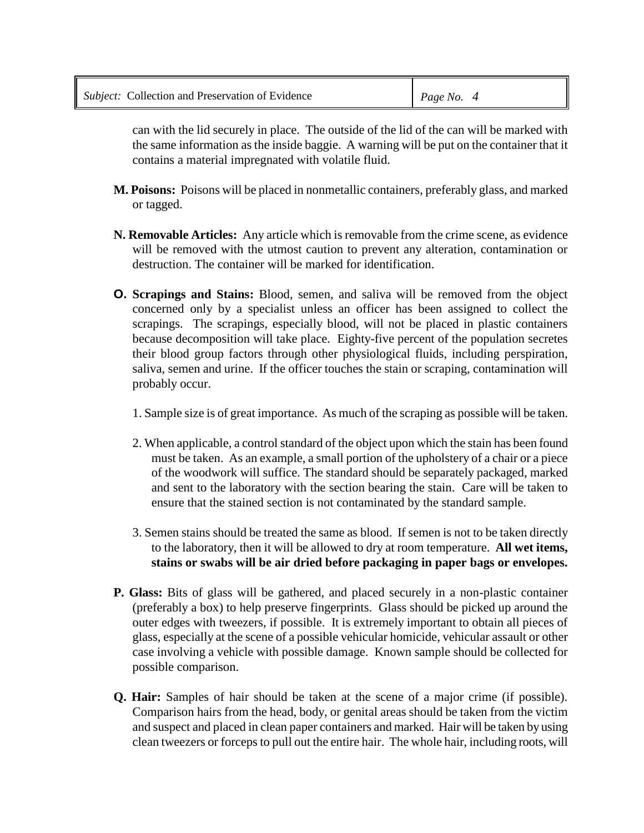can with the lid securely in place. The outside of the lid of the can will be marked with the same information as the inside baggie. A warning will be put on the container that it contains a material impregnated with volatile fluid.

- **M. Poisons:** Poisons will be placed in nonmetallic containers, preferably glass, and marked or tagged.
- **N. Removable Articles:** Any article which is removable from the crime scene, as evidence will be removed with the utmost caution to prevent any alteration, contamination or destruction. The container will be marked for identification.
- **O. Scrapings and Stains:** Blood, semen, and saliva will be removed from the object concerned only by a specialist unless an officer has been assigned to collect the scrapings. The scrapings, especially blood, will not be placed in plastic containers because decomposition will take place.Eighty-five percent of the population secretes their blood group factors through other physiological fluids, including perspiration, saliva, semen and urine. If the officer touches the stain or scraping, contamination will probably occur.
	- 1. Sample size is of great importance. As much of the scraping as possible will be taken.
	- 2. When applicable, a control standard of the object upon which the stain has been found must be taken. As an example, a small portion of the upholstery of a chair or a piece of the woodwork will suffice. The standard should be separately packaged, marked and sent to the laboratory with the section bearing the stain. Care will be taken to ensure that the stained section is not contaminated by the standard sample.
	- 3. Semen stains should be treated the same as blood. If semen is not to be taken directly to the laboratory, then it will be allowed to dry at room temperature. **All wet items, stains or swabs will be air dried before packaging in paper bags or envelopes.**
- **P. Glass:** Bits of glass will be gathered, and placed securely in a non-plastic container (preferably a box) to help preserve fingerprints. Glass should be picked up around the outer edges with tweezers, if possible. It is extremely important to obtain all pieces of glass, especially at the scene of a possible vehicular homicide, vehicular assault or other case involving a vehicle with possible damage. Known sample should be collected for possible comparison.
- **Q. Hair:** Samples of hair should be taken at the scene of a major crime (if possible). Comparison hairs from the head, body, or genital areas should be taken from the victim and suspect and placed in clean paper containers and marked. Hair will be taken by using clean tweezers or forceps to pull out the entire hair. The whole hair, including roots, will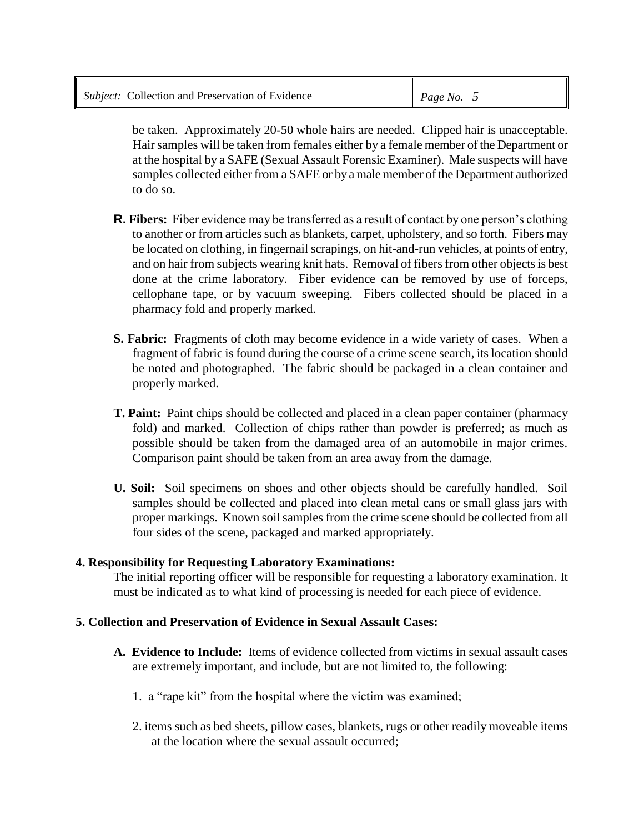| <i>Subject:</i> Collection and Preservation of Evidence | Page No. $5$ |
|---------------------------------------------------------|--------------|
|---------------------------------------------------------|--------------|

be taken. Approximately 20-50 whole hairs are needed. Clipped hair is unacceptable. Hair samples will be taken from females either by a female member of the Department or at the hospital by a SAFE (Sexual Assault Forensic Examiner). Male suspects will have samples collected either from a SAFE or by a male member of the Department authorized to do so.

- **R. Fibers:** Fiber evidence may be transferred as a result of contact by one person's clothing to another or from articles such as blankets, carpet, upholstery, and so forth. Fibers may be located on clothing, in fingernail scrapings, on hit-and-run vehicles, at points of entry, and on hair from subjects wearing knit hats. Removal of fibers from other objects is best done at the crime laboratory. Fiber evidence can be removed by use of forceps, cellophane tape, or by vacuum sweeping. Fibers collected should be placed in a pharmacy fold and properly marked.
- **S. Fabric:** Fragments of cloth may become evidence in a wide variety of cases. When a fragment of fabric is found during the course of a crime scene search, its location should be noted and photographed. The fabric should be packaged in a clean container and properly marked.
- **T. Paint:** Paint chips should be collected and placed in a clean paper container (pharmacy fold) and marked. Collection of chips rather than powder is preferred; as much as possible should be taken from the damaged area of an automobile in major crimes. Comparison paint should be taken from an area away from the damage.
- **U. Soil:** Soil specimens on shoes and other objects should be carefully handled. Soil samples should be collected and placed into clean metal cans or small glass jars with proper markings. Known soil samples from the crime scene should be collected from all four sides of the scene, packaged and marked appropriately.

#### **4. Responsibility for Requesting Laboratory Examinations:**

The initial reporting officer will be responsible for requesting a laboratory examination. It must be indicated as to what kind of processing is needed for each piece of evidence.

#### **5. Collection and Preservation of Evidence in Sexual Assault Cases:**

- **A. Evidence to Include:** Items of evidence collected from victims in sexual assault cases are extremely important, and include, but are not limited to, the following:
	- 1. a "rape kit" from the hospital where the victim was examined;
	- 2. items such as bed sheets, pillow cases, blankets, rugs or other readily moveable items at the location where the sexual assault occurred;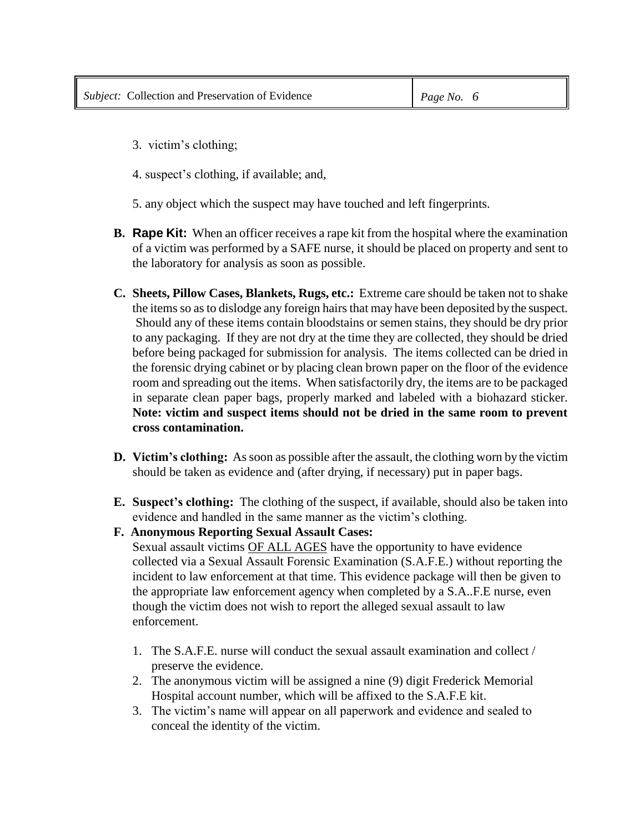- 3. victim's clothing;
- 4. suspect's clothing, if available; and,
- 5. any object which the suspect may have touched and left fingerprints.
- **B. Rape Kit:** When an officer receives a rape kit from the hospital where the examination of a victim was performed by a SAFE nurse, it should be placed on property and sent to the laboratory for analysis as soon as possible.
- **C. Sheets, Pillow Cases, Blankets, Rugs, etc.:** Extreme care should be taken not to shake the items so as to dislodge any foreign hairs that may have been deposited by the suspect. Should any of these items contain bloodstains or semen stains, they should be dry prior to any packaging. If they are not dry at the time they are collected, they should be dried before being packaged for submission for analysis. The items collected can be dried in the forensic drying cabinet or by placing clean brown paper on the floor of the evidence room and spreading out the items. When satisfactorily dry, the items are to be packaged in separate clean paper bags, properly marked and labeled with a biohazard sticker. **Note: victim and suspect items should not be dried in the same room to prevent cross contamination.**
- **D. Victim's clothing:** As soon as possible after the assault, the clothing worn by the victim should be taken as evidence and (after drying, if necessary) put in paper bags.
- **E. Suspect's clothing:** The clothing of the suspect, if available, should also be taken into evidence and handled in the same manner as the victim's clothing.
- **F. Anonymous Reporting Sexual Assault Cases:** Sexual assault victims OF ALL AGES have the opportunity to have evidence collected via a Sexual Assault Forensic Examination (S.A.F.E.) without reporting the incident to law enforcement at that time. This evidence package will then be given to the appropriate law enforcement agency when completed by a S.A..F.E nurse, even though the victim does not wish to report the alleged sexual assault to law enforcement.
	- 1. The S.A.F.E. nurse will conduct the sexual assault examination and collect / preserve the evidence.
	- 2. The anonymous victim will be assigned a nine (9) digit Frederick Memorial Hospital account number, which will be affixed to the S.A.F.E kit.
	- 3. The victim's name will appear on all paperwork and evidence and sealed to conceal the identity of the victim.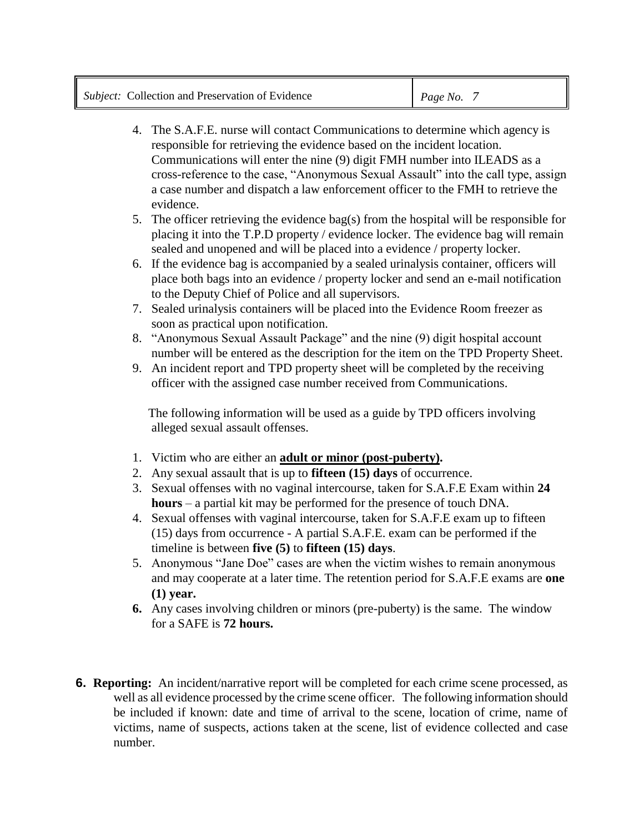- 4. The S.A.F.E. nurse will contact Communications to determine which agency is responsible for retrieving the evidence based on the incident location. Communications will enter the nine (9) digit FMH number into ILEADS as a cross-reference to the case, "Anonymous Sexual Assault" into the call type, assign a case number and dispatch a law enforcement officer to the FMH to retrieve the evidence.
- 5. The officer retrieving the evidence bag(s) from the hospital will be responsible for placing it into the T.P.D property / evidence locker. The evidence bag will remain sealed and unopened and will be placed into a evidence / property locker.
- 6. If the evidence bag is accompanied by a sealed urinalysis container, officers will place both bags into an evidence / property locker and send an e-mail notification to the Deputy Chief of Police and all supervisors.
- 7. Sealed urinalysis containers will be placed into the Evidence Room freezer as soon as practical upon notification.
- 8. "Anonymous Sexual Assault Package" and the nine (9) digit hospital account number will be entered as the description for the item on the TPD Property Sheet.
- 9. An incident report and TPD property sheet will be completed by the receiving officer with the assigned case number received from Communications.

 The following information will be used as a guide by TPD officers involving alleged sexual assault offenses.

- 1. Victim who are either an **adult or minor (post-puberty).**
- 2. Any sexual assault that is up to **fifteen (15) days** of occurrence.
- 3. Sexual offenses with no vaginal intercourse, taken for S.A.F.E Exam within **24 hours** – a partial kit may be performed for the presence of touch DNA.
- 4. Sexual offenses with vaginal intercourse, taken for S.A.F.E exam up to fifteen (15) days from occurrence - A partial S.A.F.E. exam can be performed if the timeline is between **five (5)** to **fifteen (15) days**.
- 5. Anonymous "Jane Doe" cases are when the victim wishes to remain anonymous and may cooperate at a later time. The retention period for S.A.F.E exams are **one (1) year.**
- **6.** Any cases involving children or minors (pre-puberty) is the same. The window for a SAFE is **72 hours.**
- **6. Reporting:** An incident/narrative report will be completed for each crime scene processed, as well as all evidence processed by the crime scene officer. The following information should be included if known: date and time of arrival to the scene, location of crime, name of victims, name of suspects, actions taken at the scene, list of evidence collected and case number.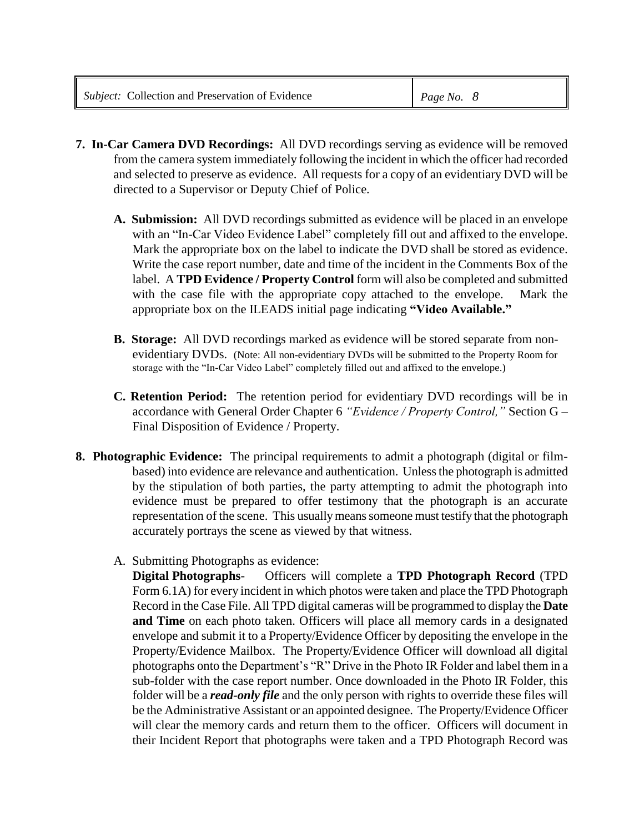- **7. In-Car Camera DVD Recordings:** All DVD recordings serving as evidence will be removed from the camera system immediately following the incident in which the officer had recorded and selected to preserve as evidence. All requests for a copy of an evidentiary DVD will be directed to a Supervisor or Deputy Chief of Police.
	- **A. Submission:** All DVD recordings submitted as evidence will be placed in an envelope with an "In-Car Video Evidence Label" completely fill out and affixed to the envelope. Mark the appropriate box on the label to indicate the DVD shall be stored as evidence. Write the case report number, date and time of the incident in the Comments Box of the label. A **TPD Evidence / Property Control** form will also be completed and submitted with the case file with the appropriate copy attached to the envelope. Mark the appropriate box on the ILEADS initial page indicating **"Video Available."**
	- **B. Storage:** All DVD recordings marked as evidence will be stored separate from nonevidentiary DVDs. (Note: All non-evidentiary DVDs will be submitted to the Property Room for storage with the "In-Car Video Label" completely filled out and affixed to the envelope.)
	- **C. Retention Period:** The retention period for evidentiary DVD recordings will be in accordance with General Order Chapter 6 *"Evidence / Property Control,"* Section G – Final Disposition of Evidence / Property.
- **8. Photographic Evidence:** The principal requirements to admit a photograph (digital or filmbased) into evidence are relevance and authentication. Unless the photograph is admitted by the stipulation of both parties, the party attempting to admit the photograph into evidence must be prepared to offer testimony that the photograph is an accurate representation of the scene. This usually means someone must testify that the photograph accurately portrays the scene as viewed by that witness.
	- A. Submitting Photographs as evidence:

**Digital Photographs**- Officers will complete a **TPD Photograph Record** (TPD Form 6.1A) for every incident in which photos were taken and place the TPD Photograph Record in the Case File. All TPD digital cameras will be programmed to display the **Date and Time** on each photo taken. Officers will place all memory cards in a designated envelope and submit it to a Property/Evidence Officer by depositing the envelope in the Property/Evidence Mailbox. The Property/Evidence Officer will download all digital photographs onto the Department's "R" Drive in the Photo IR Folder and label them in a sub-folder with the case report number. Once downloaded in the Photo IR Folder, this folder will be a *read-only file* and the only person with rights to override these files will be the Administrative Assistant or an appointed designee. The Property/Evidence Officer will clear the memory cards and return them to the officer. Officers will document in their Incident Report that photographs were taken and a TPD Photograph Record was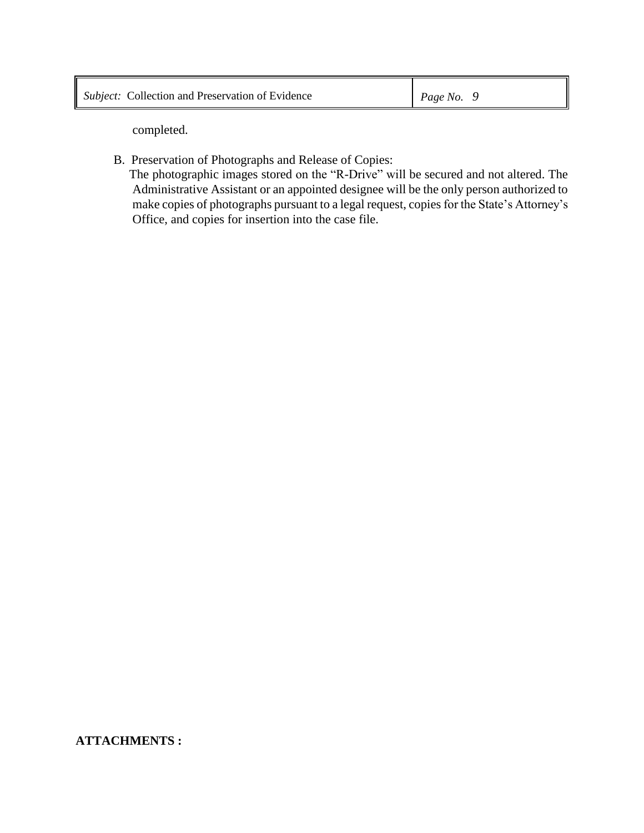completed.

B. Preservation of Photographs and Release of Copies:

 The photographic images stored on the "R-Drive" will be secured and not altered. The Administrative Assistant or an appointed designee will be the only person authorized to make copies of photographs pursuant to a legal request, copies for the State's Attorney's Office, and copies for insertion into the case file.

# **ATTACHMENTS :**